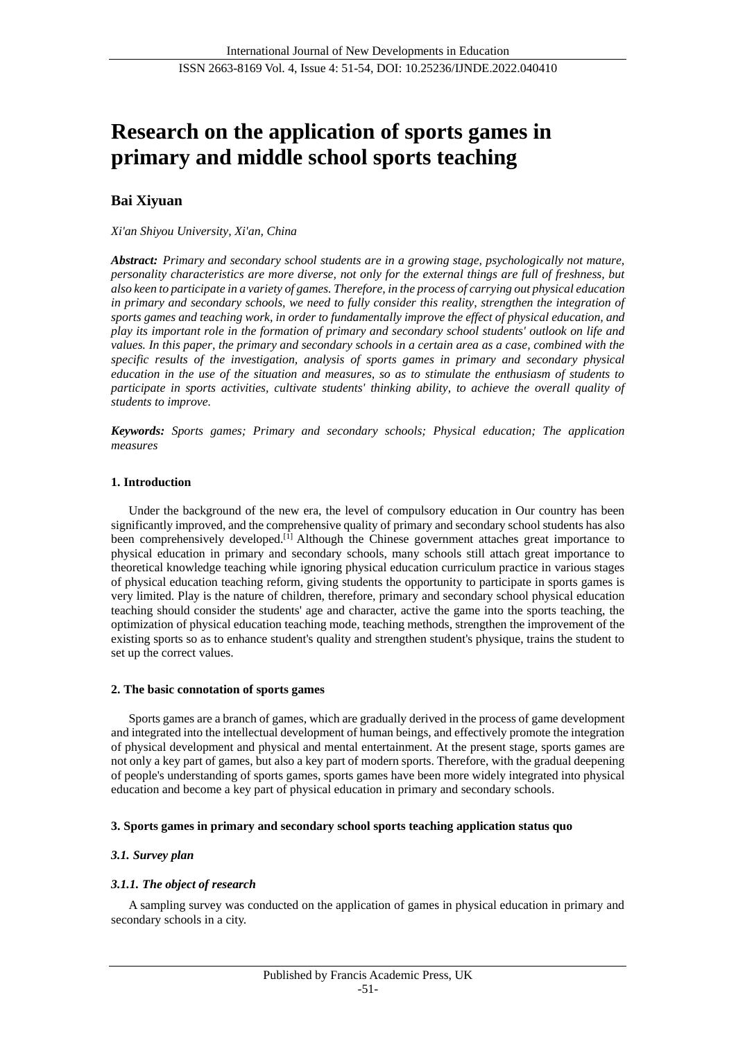# **Research on the application of sports games in primary and middle school sports teaching**

## **Bai Xiyuan**

### *Xi'an Shiyou University, Xi'an, China*

*Abstract: Primary and secondary school students are in a growing stage, psychologically not mature, personality characteristics are more diverse, not only for the external things are full of freshness, but also keen to participate in a variety of games. Therefore, in the process of carrying out physical education in primary and secondary schools, we need to fully consider this reality, strengthen the integration of sports games and teaching work, in order to fundamentally improve the effect of physical education, and play its important role in the formation of primary and secondary school students' outlook on life and values. In this paper, the primary and secondary schools in a certain area as a case, combined with the specific results of the investigation, analysis of sports games in primary and secondary physical education in the use of the situation and measures, so as to stimulate the enthusiasm of students to participate in sports activities, cultivate students' thinking ability, to achieve the overall quality of students to improve.*

*Keywords: Sports games; Primary and secondary schools; Physical education; The application measures*

#### **1. Introduction**

Under the background of the new era, the level of compulsory education in Our country has been significantly improved, and the comprehensive quality of primary and secondary school students has also been comprehensively developed.<sup>[1]</sup> Although the Chinese government attaches great importance to physical education in primary and secondary schools, many schools still attach great importance to theoretical knowledge teaching while ignoring physical education curriculum practice in various stages of physical education teaching reform, giving students the opportunity to participate in sports games is very limited. Play is the nature of children, therefore, primary and secondary school physical education teaching should consider the students' age and character, active the game into the sports teaching, the optimization of physical education teaching mode, teaching methods, strengthen the improvement of the existing sports so as to enhance student's quality and strengthen student's physique, trains the student to set up the correct values.

#### **2. The basic connotation of sports games**

Sports games are a branch of games, which are gradually derived in the process of game development and integrated into the intellectual development of human beings, and effectively promote the integration of physical development and physical and mental entertainment. At the present stage, sports games are not only a key part of games, but also a key part of modern sports. Therefore, with the gradual deepening of people's understanding of sports games, sports games have been more widely integrated into physical education and become a key part of physical education in primary and secondary schools.

## **3. Sports games in primary and secondary school sports teaching application status quo**

## *3.1. Survey plan*

## *3.1.1. The object of research*

A sampling survey was conducted on the application of games in physical education in primary and secondary schools in a city.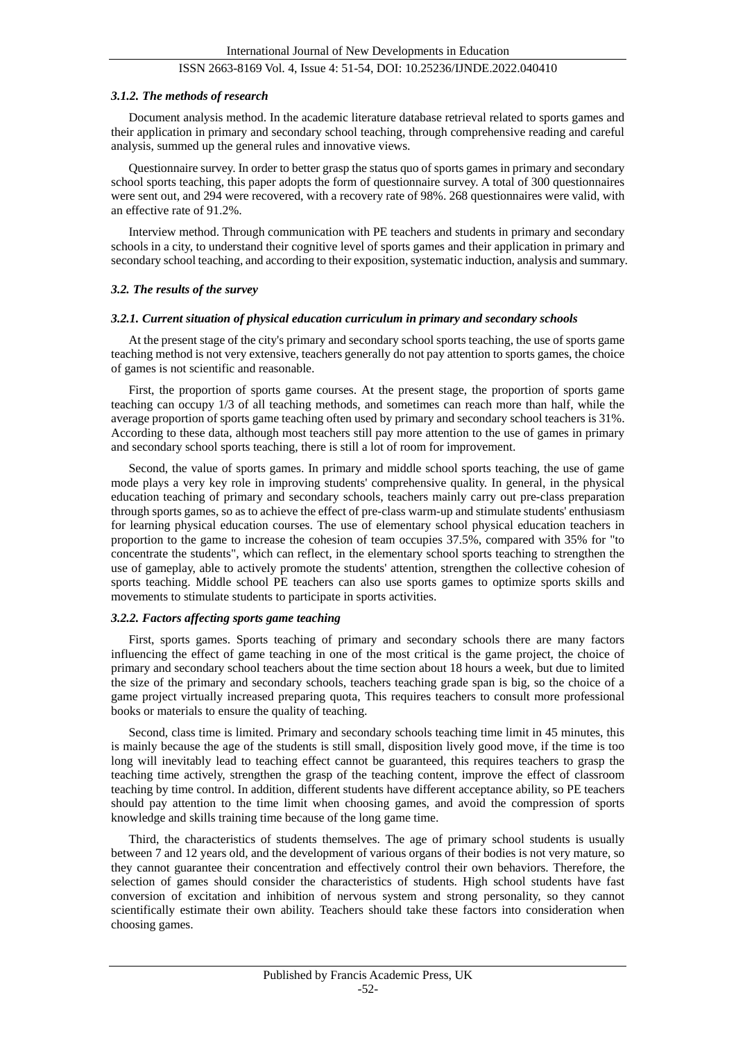## ISSN 2663-8169 Vol. 4, Issue 4: 51-54, DOI: 10.25236/IJNDE.2022.040410

#### *3.1.2. The methods of research*

Document analysis method. In the academic literature database retrieval related to sports games and their application in primary and secondary school teaching, through comprehensive reading and careful analysis, summed up the general rules and innovative views.

Questionnaire survey. In order to better grasp the status quo of sports games in primary and secondary school sports teaching, this paper adopts the form of questionnaire survey. A total of 300 questionnaires were sent out, and 294 were recovered, with a recovery rate of 98%. 268 questionnaires were valid, with an effective rate of 91.2%.

Interview method. Through communication with PE teachers and students in primary and secondary schools in a city, to understand their cognitive level of sports games and their application in primary and secondary school teaching, and according to their exposition, systematic induction, analysis and summary.

#### *3.2. The results of the survey*

#### *3.2.1. Current situation of physical education curriculum in primary and secondary schools*

At the present stage of the city's primary and secondary school sports teaching, the use of sports game teaching method is not very extensive, teachers generally do not pay attention to sports games, the choice of games is not scientific and reasonable.

First, the proportion of sports game courses. At the present stage, the proportion of sports game teaching can occupy 1/3 of all teaching methods, and sometimes can reach more than half, while the average proportion of sports game teaching often used by primary and secondary school teachers is 31%. According to these data, although most teachers still pay more attention to the use of games in primary and secondary school sports teaching, there is still a lot of room for improvement.

Second, the value of sports games. In primary and middle school sports teaching, the use of game mode plays a very key role in improving students' comprehensive quality. In general, in the physical education teaching of primary and secondary schools, teachers mainly carry out pre-class preparation through sports games, so as to achieve the effect of pre-class warm-up and stimulate students' enthusiasm for learning physical education courses. The use of elementary school physical education teachers in proportion to the game to increase the cohesion of team occupies 37.5%, compared with 35% for "to concentrate the students", which can reflect, in the elementary school sports teaching to strengthen the use of gameplay, able to actively promote the students' attention, strengthen the collective cohesion of sports teaching. Middle school PE teachers can also use sports games to optimize sports skills and movements to stimulate students to participate in sports activities.

### *3.2.2. Factors affecting sports game teaching*

First, sports games. Sports teaching of primary and secondary schools there are many factors influencing the effect of game teaching in one of the most critical is the game project, the choice of primary and secondary school teachers about the time section about 18 hours a week, but due to limited the size of the primary and secondary schools, teachers teaching grade span is big, so the choice of a game project virtually increased preparing quota, This requires teachers to consult more professional books or materials to ensure the quality of teaching.

Second, class time is limited. Primary and secondary schools teaching time limit in 45 minutes, this is mainly because the age of the students is still small, disposition lively good move, if the time is too long will inevitably lead to teaching effect cannot be guaranteed, this requires teachers to grasp the teaching time actively, strengthen the grasp of the teaching content, improve the effect of classroom teaching by time control. In addition, different students have different acceptance ability, so PE teachers should pay attention to the time limit when choosing games, and avoid the compression of sports knowledge and skills training time because of the long game time.

Third, the characteristics of students themselves. The age of primary school students is usually between 7 and 12 years old, and the development of various organs of their bodies is not very mature, so they cannot guarantee their concentration and effectively control their own behaviors. Therefore, the selection of games should consider the characteristics of students. High school students have fast conversion of excitation and inhibition of nervous system and strong personality, so they cannot scientifically estimate their own ability. Teachers should take these factors into consideration when choosing games.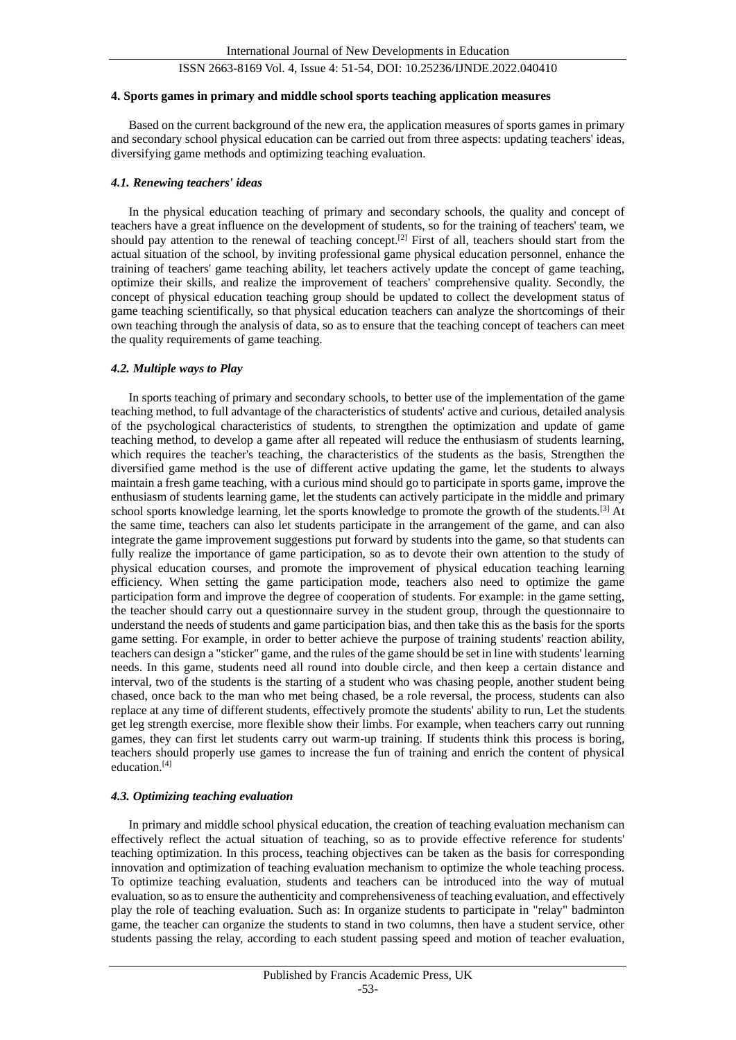## ISSN 2663-8169 Vol. 4, Issue 4: 51-54, DOI: 10.25236/IJNDE.2022.040410

#### **4. Sports games in primary and middle school sports teaching application measures**

Based on the current background of the new era, the application measures of sports games in primary and secondary school physical education can be carried out from three aspects: updating teachers' ideas, diversifying game methods and optimizing teaching evaluation.

#### *4.1. Renewing teachers' ideas*

In the physical education teaching of primary and secondary schools, the quality and concept of teachers have a great influence on the development of students, so for the training of teachers' team, we should pay attention to the renewal of teaching concept.[2] First of all, teachers should start from the actual situation of the school, by inviting professional game physical education personnel, enhance the training of teachers' game teaching ability, let teachers actively update the concept of game teaching, optimize their skills, and realize the improvement of teachers' comprehensive quality. Secondly, the concept of physical education teaching group should be updated to collect the development status of game teaching scientifically, so that physical education teachers can analyze the shortcomings of their own teaching through the analysis of data, so as to ensure that the teaching concept of teachers can meet the quality requirements of game teaching.

#### *4.2. Multiple ways to Play*

In sports teaching of primary and secondary schools, to better use of the implementation of the game teaching method, to full advantage of the characteristics of students' active and curious, detailed analysis of the psychological characteristics of students, to strengthen the optimization and update of game teaching method, to develop a game after all repeated will reduce the enthusiasm of students learning, which requires the teacher's teaching, the characteristics of the students as the basis, Strengthen the diversified game method is the use of different active updating the game, let the students to always maintain a fresh game teaching, with a curious mind should go to participate in sports game, improve the enthusiasm of students learning game, let the students can actively participate in the middle and primary school sports knowledge learning, let the sports knowledge to promote the growth of the students.[3] At the same time, teachers can also let students participate in the arrangement of the game, and can also integrate the game improvement suggestions put forward by students into the game, so that students can fully realize the importance of game participation, so as to devote their own attention to the study of physical education courses, and promote the improvement of physical education teaching learning efficiency. When setting the game participation mode, teachers also need to optimize the game participation form and improve the degree of cooperation of students. For example: in the game setting, the teacher should carry out a questionnaire survey in the student group, through the questionnaire to understand the needs of students and game participation bias, and then take this as the basis for the sports game setting. For example, in order to better achieve the purpose of training students' reaction ability, teachers can design a "sticker" game, and the rules of the game should be set in line with students' learning needs. In this game, students need all round into double circle, and then keep a certain distance and interval, two of the students is the starting of a student who was chasing people, another student being chased, once back to the man who met being chased, be a role reversal, the process, students can also replace at any time of different students, effectively promote the students' ability to run, Let the students get leg strength exercise, more flexible show their limbs. For example, when teachers carry out running games, they can first let students carry out warm-up training. If students think this process is boring, teachers should properly use games to increase the fun of training and enrich the content of physical education.[4]

## *4.3. Optimizing teaching evaluation*

In primary and middle school physical education, the creation of teaching evaluation mechanism can effectively reflect the actual situation of teaching, so as to provide effective reference for students' teaching optimization. In this process, teaching objectives can be taken as the basis for corresponding innovation and optimization of teaching evaluation mechanism to optimize the whole teaching process. To optimize teaching evaluation, students and teachers can be introduced into the way of mutual evaluation, so as to ensure the authenticity and comprehensiveness of teaching evaluation, and effectively play the role of teaching evaluation. Such as: In organize students to participate in "relay" badminton game, the teacher can organize the students to stand in two columns, then have a student service, other students passing the relay, according to each student passing speed and motion of teacher evaluation,